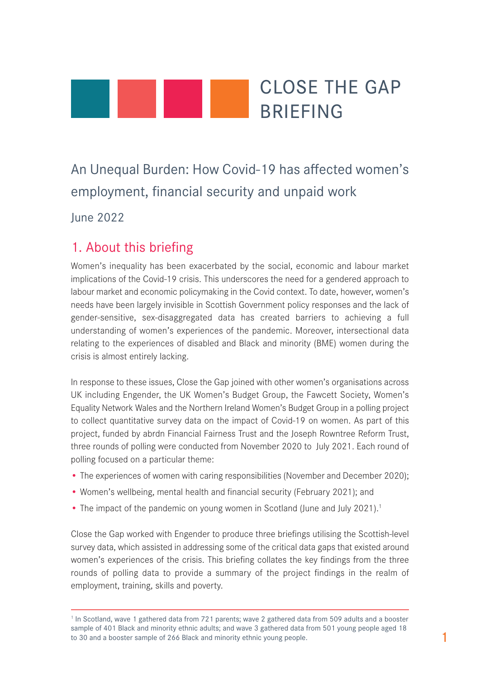

# An Unequal Burden: How Covid-19 has affected women's employment, financial security and unpaid work

June 2022

## 1. About this briefing

Women's inequality has been exacerbated by the social, economic and labour market implications of the Covid-19 crisis. This underscores the need for a gendered approach to labour market and economic policymaking in the Covid context. To date, however, women's needs have been largely invisible in Scottish Government policy responses and the lack of gender-sensitive, sex-disaggregated data has created barriers to achieving a full understanding of women's experiences of the pandemic. Moreover, intersectional data relating to the experiences of disabled and Black and minority (BME) women during the crisis is almost entirely lacking.

In response to these issues, Close the Gap joined with other women's organisations across UK including Engender, the UK Women's Budget Group, the Fawcett Society, Women's Equality Network Wales and the Northern Ireland Women's Budget Group in a polling project to collect quantitative survey data on the impact of Covid-19 on women. As part of this project, funded by abrdn Financial Fairness Trust and the Joseph Rowntree Reform Trust, three rounds of polling were conducted from November 2020 to July 2021. Each round of polling focused on a particular theme:

- The experiences of women with caring responsibilities (November and December 2020);
- Women's wellbeing, mental health and financial security (February 2021); and
- The impact of the pandemic on young women in Scotland (June and July 2021).<sup>1</sup>

Close the Gap worked with Engender to produce three briefings utilising the Scottish-level survey data, which assisted in addressing some of the critical data gaps that existed around women's experiences of the crisis. This briefing collates the key findings from the three rounds of polling data to provide a summary of the project findings in the realm of employment, training, skills and poverty.

<sup>&</sup>lt;sup>1</sup> In Scotland, wave 1 gathered data from 721 parents; wave 2 gathered data from 509 adults and a booster sample of 401 Black and minority ethnic adults; and wave 3 gathered data from 501 young people aged 18 to 30 and a booster sample of 266 Black and minority ethnic young people.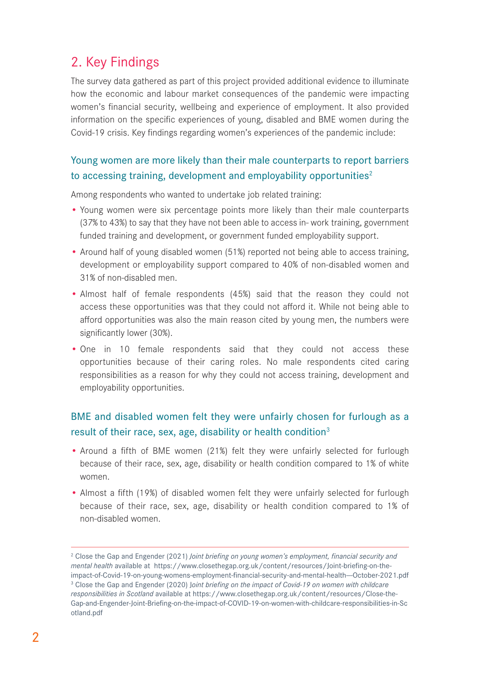### 2. Key Findings

The survey data gathered as part of this project provided additional evidence to illuminate how the economic and labour market consequences of the pandemic were impacting women's financial security, wellbeing and experience of employment. It also provided information on the specific experiences of young, disabled and BME women during the Covid-19 crisis. Key findings regarding women's experiences of the pandemic include:

#### Young women are more likely than their male counterparts to report barriers to accessing training, development and employability opportunities<sup>2</sup>

Among respondents who wanted to undertake job related training:

- Young women were six percentage points more likely than their male counterparts (37% to 43%) to say that they have not been able to access in- work training, government funded training and development, or government funded employability support.
- Around half of young disabled women (51%) reported not being able to access training, development or employability support compared to 40% of non-disabled women and 31% of non-disabled men.
- Almost half of female respondents (45%) said that the reason they could not access these opportunities was that they could not afford it. While not being able to afford opportunities was also the main reason cited by young men, the numbers were significantly lower (30%).
- One in 10 female respondents said that they could not access these opportunities because of their caring roles. No male respondents cited caring responsibilities as a reason for why they could not access training, development and employability opportunities.

#### BME and disabled women felt they were unfairly chosen for furlough as a result of their race, sex, age, disability or health condition<sup>3</sup>

- Around a fifth of BME women (21%) felt they were unfairly selected for furlough because of their race, sex, age, disability or health condition compared to 1% of white women.
- Almost a fifth (19%) of disabled women felt they were unfairly selected for furlough because of their race, sex, age, disability or health condition compared to 1% of non-disabled women.

<sup>2</sup> Close the Gap and Engender (2021) *Joint briefing on young women's employment, financial security and mental health* available at https://www.closethegap.org.uk/content/resources/Joint-briefing-on-theimpact-of-Covid-19-on-young-womens-employment-financial-security-and-mental-health--October-2021.pdf 3 Close the Gap and Engender (2020) J*oint briefing on the impact of Covid-19 on women with childcare responsibilities in Scotland* available at https://www.closethegap.org.uk/content/resources/Close-the-Gap-and-Engender-Joint-Briefing-on-the-impact-of-COVID-19-on-women-with-childcare-responsibilities-in-Sc otland.pdf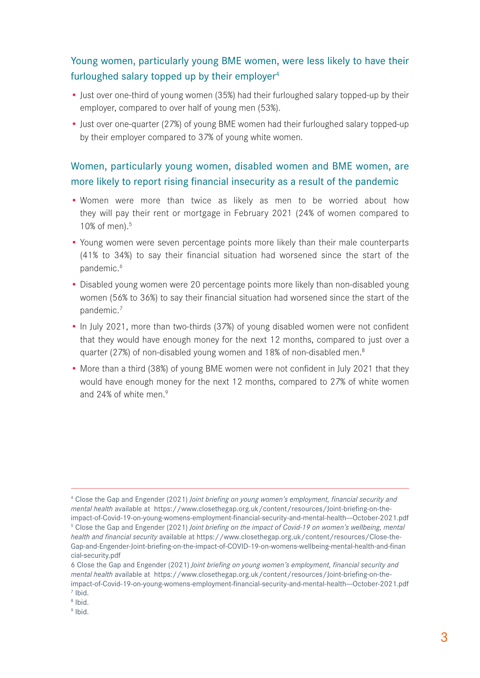#### Young women, particularly young BME women, were less likely to have their furloughed salary topped up by their employer $4$

- Just over one-third of young women (35%) had their furloughed salary topped-up by their employer, compared to over half of young men (53%).
- Just over one-quarter (27%) of young BME women had their furloughed salary topped-up by their employer compared to 37% of young white women.

#### Women, particularly young women, disabled women and BME women, are more likely to report rising financial insecurity as a result of the pandemic

- Women were more than twice as likely as men to be worried about how they will pay their rent or mortgage in February 2021 (24% of women compared to 10% of men $1<sup>5</sup>$
- Young women were seven percentage points more likely than their male counterparts (41% to 34%) to say their financial situation had worsened since the start of the pandemic.<sup>6</sup>
- Disabled young women were 20 percentage points more likely than non-disabled young women (56% to 36%) to say their financial situation had worsened since the start of the pandemic.7
- In July 2021, more than two-thirds (37%) of young disabled women were not confident that they would have enough money for the next 12 months, compared to just over a quarter (27%) of non-disabled young women and 18% of non-disabled men.<sup>8</sup>
- More than a third (38%) of young BME women were not confident in July 2021 that they would have enough money for the next 12 months, compared to 27% of white women and 24% of white men.9

9 Ibid.

<sup>4</sup> Close the Gap and Engender (2021) *Joint briefing on young women's employment, financial security and mental health* available at https://www.closethegap.org.uk/content/resources/Joint-briefing-on-theimpact-of-Covid-19-on-young-womens-employment-financial-security-and-mental-health---October-2021.pdf 5 Close the Gap and Engender (2021) *Joint briefing on the impact of Covid-19 on women's wellbeing, mental health and financial security* available at https://www.closethegap.org.uk/content/resources/Close-the-Gap-and-Engender-Joint-briefing-on-the-impact-of-COVID-19-on-womens-wellbeing-mental-health-and-finan cial-security.pdf

<sup>6</sup> Close the Gap and Engender (2021) *Joint briefing on young women's employment, financial security and mental health* available at https://www.closethegap.org.uk/content/resources/Joint-briefing-on-theimpact-of-Covid-19-on-young-womens-employment-financial-security-and-mental-health--October-2021.pdf  $<sup>7</sup>$  Ibid.</sup>

<sup>8</sup> Ibid.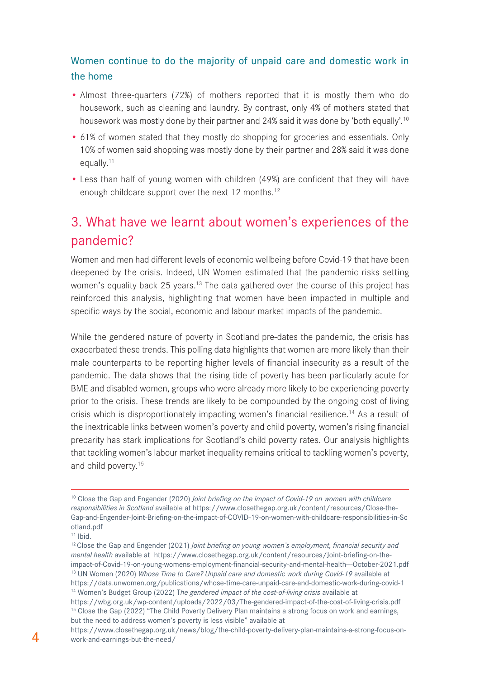#### Women continue to do the majority of unpaid care and domestic work in the home

- Almost three-quarters (72%) of mothers reported that it is mostly them who do housework, such as cleaning and laundry. By contrast, only 4% of mothers stated that housework was mostly done by their partner and 24% said it was done by 'both equally'.<sup>10</sup>
- 61% of women stated that they mostly do shopping for groceries and essentials. Only 10% of women said shopping was mostly done by their partner and 28% said it was done equally.<sup>11</sup>
- Less than half of young women with children (49%) are confident that they will have enough childcare support over the next 12 months.<sup>12</sup>

### 3. What have we learnt about women's experiences of the pandemic?

Women and men had different levels of economic wellbeing before Covid-19 that have been deepened by the crisis. Indeed, UN Women estimated that the pandemic risks setting women's equality back 25 years.<sup>13</sup> The data gathered over the course of this project has reinforced this analysis, highlighting that women have been impacted in multiple and specific ways by the social, economic and labour market impacts of the pandemic.

While the gendered nature of poverty in Scotland pre-dates the pandemic, the crisis has exacerbated these trends. This polling data highlights that women are more likely than their male counterparts to be reporting higher levels of financial insecurity as a result of the pandemic. The data shows that the rising tide of poverty has been particularly acute for BME and disabled women, groups who were already more likely to be experiencing poverty prior to the crisis. These trends are likely to be compounded by the ongoing cost of living crisis which is disproportionately impacting women's financial resilience.14 As a result of the inextricable links between women's poverty and child poverty, women's rising financial precarity has stark implications for Scotland's child poverty rates. Our analysis highlights that tackling women's labour market inequality remains critical to tackling women's poverty, and child poverty.15

12 Close the Gap and Engender (2021) *Joint briefing on young women's employment, financial security and mental health* available at https://www.closethegap.org.uk/content/resources/Joint-briefing-on-theimpact-of-Covid-19-on-young-womens-employment-financial-security-and-mental-health--October-2021.pdf <sup>13</sup> UN Women (2020) *Whose Time to Care? Unpaid care and domestic work during Covid-19* available at https://data.unwomen.org/publications/whose-time-care-unpaid-care-and-domestic-work-during-covid-1

<sup>10</sup> Close the Gap and Engender (2020) *Joint briefing on the impact of Covid-19 on women with childcare responsibilities in Scotland* available at https://www.closethegap.org.uk/content/resources/Close-the-Gap-and-Engender-Joint-Briefing-on-the-impact-of-COVID-19-on-women-with-childcare-responsibilities-in-Sc otland.pdf

 $11$  Ibid.

<sup>14</sup> Women's Budget Group (2022) T*he gendered impact of the cost-of-living crisis* available at

https://wbg.org.uk/wp-content/uploads/2022/03/The-gendered-impact-of-the-cost-of-living-crisis.pdf <sup>15</sup> Close the Gap (2022) "The Child Poverty Delivery Plan maintains a strong focus on work and earnings, but the need to address women's poverty is less visible" available at

https://www.closethegap.org.uk/news/blog/the-child-poverty-delivery-plan-maintains-a-strong-focus-onwork-and-earnings-but-the-need/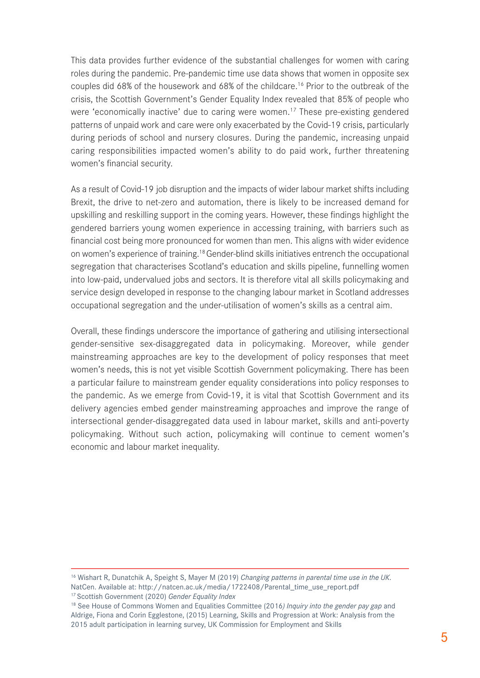This data provides further evidence of the substantial challenges for women with caring roles during the pandemic. Pre-pandemic time use data shows that women in opposite sex couples did 68% of the housework and 68% of the childcare.16 Prior to the outbreak of the crisis, the Scottish Government's Gender Equality Index revealed that 85% of people who were 'economically inactive' due to caring were women.17 These pre-existing gendered patterns of unpaid work and care were only exacerbated by the Covid-19 crisis, particularly during periods of school and nursery closures. During the pandemic, increasing unpaid caring responsibilities impacted women's ability to do paid work, further threatening women's financial security.

As a result of Covid-19 job disruption and the impacts of wider labour market shifts including Brexit, the drive to net-zero and automation, there is likely to be increased demand for upskilling and reskilling support in the coming years. However, these findings highlight the gendered barriers young women experience in accessing training, with barriers such as financial cost being more pronounced for women than men. This aligns with wider evidence on women's experience of training.18 Gender-blind skills initiatives entrench the occupational segregation that characterises Scotland's education and skills pipeline, funnelling women into low-paid, undervalued jobs and sectors. It is therefore vital all skills policymaking and service design developed in response to the changing labour market in Scotland addresses occupational segregation and the under-utilisation of women's skills as a central aim.

Overall, these findings underscore the importance of gathering and utilising intersectional gender-sensitive sex-disaggregated data in policymaking. Moreover, while gender mainstreaming approaches are key to the development of policy responses that meet women's needs, this is not yet visible Scottish Government policymaking. There has been a particular failure to mainstream gender equality considerations into policy responses to the pandemic. As we emerge from Covid-19, it is vital that Scottish Government and its delivery agencies embed gender mainstreaming approaches and improve the range of intersectional gender-disaggregated data used in labour market, skills and anti-poverty policymaking. Without such action, policymaking will continue to cement women's economic and labour market inequality.

<sup>16</sup> Wishart R, Dunatchik A, Speight S, Mayer M (2019) *Changing patterns in parental time use in the UK.* NatCen. Available at: http://natcen.ac.uk/media/1722408/Parental\_time\_use\_report.pdf 17 Scottish Government (2020) *Gender Equality Index*

<sup>18</sup> See House of Commons Women and Equalities Committee (2016*) Inquiry into the gender pay gap* and Aldrige, Fiona and Corin Egglestone, (2015) Learning, Skills and Progression at Work: Analysis from the 2015 adult participation in learning survey, UK Commission for Employment and Skills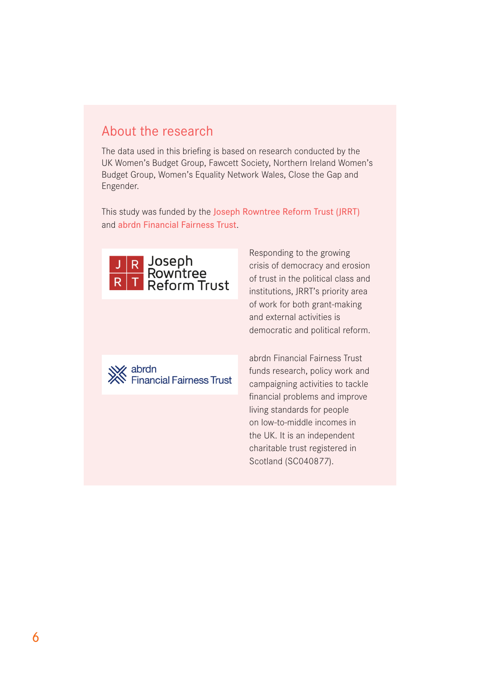### About the research

The data used in this briefing is based on research conducted by the UK Women's Budget Group, Fawcett Society, Northern Ireland Women's Budget Group, Women's Equality Network Wales, Close the Gap and Engender.

This study was funded by the Joseph Rowntree Reform Trust (JRRT) and abrdn Financial Fairness Trust.



**XX** abrdn<br>
Financial Fairness Trust

[Responding to the growing](https://www.jrrt.org.uk)  crisis of democracy and erosion of trust in the political class and institutions, JRRT's priority area of work for both grant-making and external activities is democratic and political reform.

abrdn Financial Fairness Trust funds research, policy work and campaigning activities to tackle financial problems and improve living standards for people on low-to-middle incomes in the UK. It is an independent charitable trust registered in Scotland (SC040877).